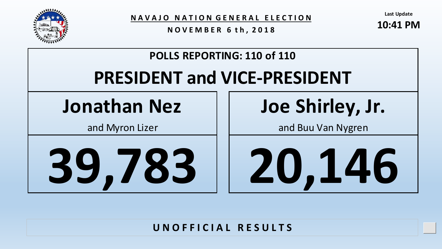

**N A V A J O N A T I O N G E N E R A L E L E C T I O N**

**N O V E M B E R 6 t h , 2 0 1 8**

**Last Update**

**10:41 PM**

Upd



#### **U N O F F I C I A L R E S U L T S**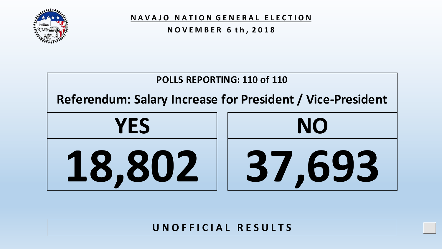

**N O V E M B E R 6 t h , 2 0 1 8**



#### **U N O F F I C I A L R E S U L T S**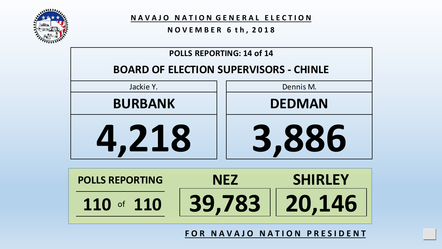

**N A V A J O N A T I O N G E N E R A L E L E C T I O N**

#### **N O V E M B E R 6 t h , 2 0 1 8**



**FOR NAVAJO NATION PRESIDENT**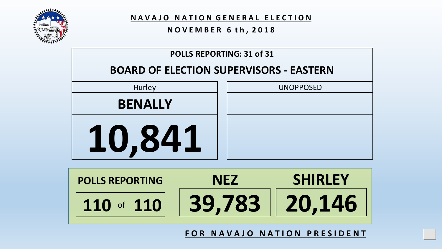

#### **N O V E M B E R 6 t h , 2 0 1 8**



| <b>POLLS REPORTING</b> | NF77          | <b>SHIRLEY</b> |
|------------------------|---------------|----------------|
| 110 of $110$           | 39,783 20,146 |                |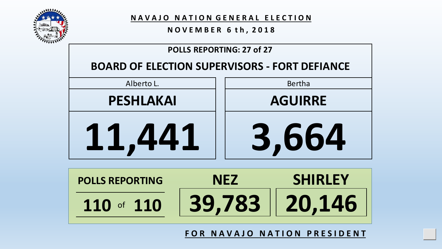

**N O V E M B E R 6 t h , 2 0 1 8**

#### **POLLS REPORTING: 27 of 27**

#### **BOARD OF ELECTION SUPERVISORS - FORT DEFIANCE**





**F O R N A V A J O N A T I O N P R E S I D E N T**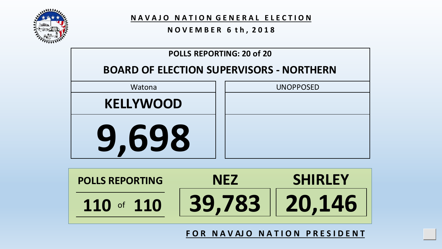

**N A V A J O N A T I O N G E N E R A L E L E C T I O N**

#### **N O V E M B E R 6 t h , 2 0 1 8**



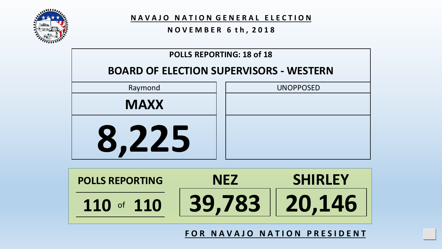

#### **N O V E M B E R 6 t h , 2 0 1 8**





**F O R N A V A J O N A T I O N P R E S I D E N T**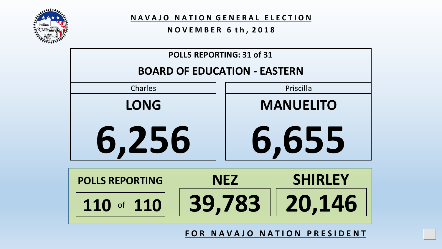

#### **N O V E M B E R 6 t h , 2 0 1 8**

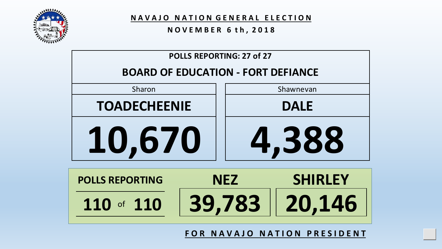

**N A V A J O N A T I O N G E N E R A L E L E C T I O N**

#### **N O V E M B E R 6 t h , 2 0 1 8**



**F O R N A V A J O N A T I O N P R E S I D E N T**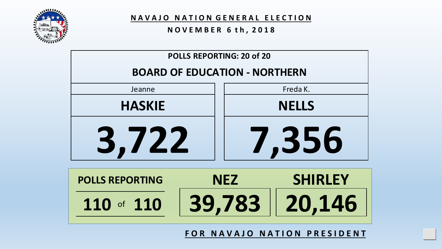

#### **N O V E M B E R 6 t h , 2 0 1 8**

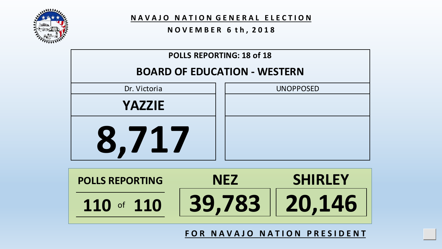

#### **N O V E M B E R 6 t h , 2 0 1 8**





**F O R N A V A J O N A T I O N P R E S I D E N T**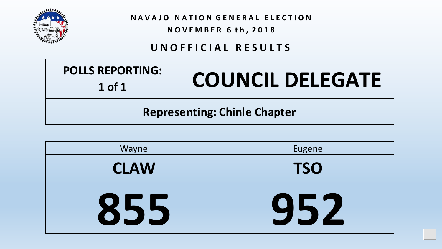

#### **N O V E M B E R 6 t h , 2 0 1 8**

#### **U N O F F I C I A L R E S U L T S**

| <b>POLLS REPORTING:</b><br>$1$ of $1$ | <b>COUNCIL DELEGATE</b> |
|---------------------------------------|-------------------------|
| <b>Representing: Chinle Chapter</b>   |                         |

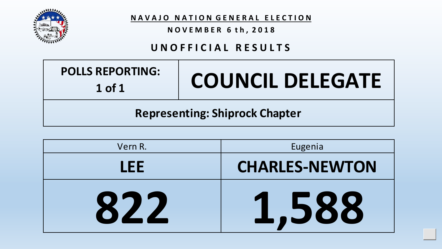

#### **N O V E M B E R 6 t h , 2 0 1 8**

#### **U N O F F I C I A L R E S U L T S**

| <b>POLLS REPORTING:</b><br>$1$ of $1$ | <b>COUNCIL DELEGATE</b> |
|---------------------------------------|-------------------------|
| <b>Representing: Shiprock Chapter</b> |                         |

| Vern R. | Eugenia               |
|---------|-----------------------|
| I FF.   | <b>CHARLES-NEWTON</b> |
| 822     | 1,588                 |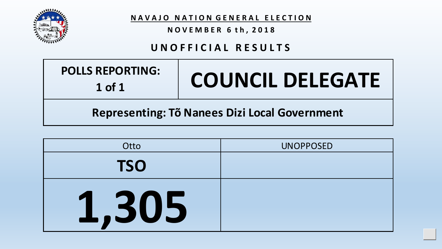

**N O V E M B E R 6 t h , 2 0 1 8**

#### **U N O F F I C I A L R E S U L T S**

| <b>POLLS REPORTING:</b><br>$1$ of $1$         | <b>COUNCIL DELEGATE</b> |
|-----------------------------------------------|-------------------------|
| Representing: Tõ Nanees Dizi Local Government |                         |

| Otto       | <b>UNOPPOSED</b> |
|------------|------------------|
| <b>TSO</b> |                  |
| 1,305      |                  |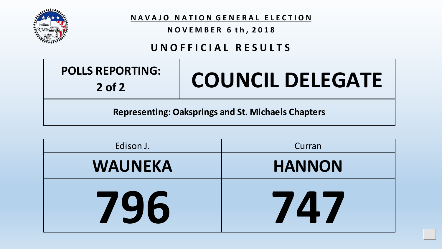

**N O V E M B E R 6 t h , 2 0 1 8**

### **U N O F F I C I A L R E S U L T S**

| <b>POLLS REPORTING:</b> |
|-------------------------|
| $2$ of $2$              |

# **2 of 2 COUNCIL DELEGATE**

Upd

**Representing: Oaksprings and St. Michaels Chapters**

| Edison J.      | Curran        |
|----------------|---------------|
| <b>WAUNEKA</b> | <b>HANNON</b> |
| 796            | 74.7          |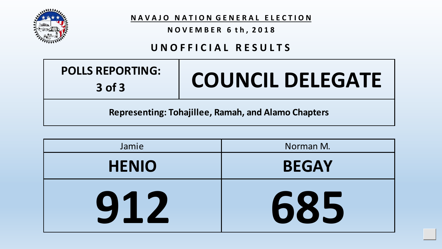

**N O V E M B E R 6 t h , 2 0 1 8**

#### **U N O F F I C I A L R E S U L T S**

| <b>POLLS REPORTING:</b> |
|-------------------------|
| $3$ of $3$              |

# **COUNCIL DELEGATE**

Upd

**Representing: Tohajillee, Ramah, and Alamo Chapters**

| Jamie        | Norman M.    |
|--------------|--------------|
| <b>HENIO</b> | <b>BEGAY</b> |
| 912          | 685          |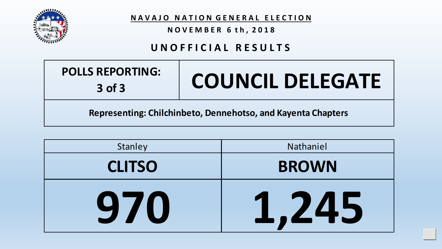

**N A V A J O N A T I O N G E N E R A L E L E C T I O N**

**N O V E M B E R 6 t h , 2 0 1 8**

#### **U N O F F I C I A L R E S U L T S**

| <b>POLLS REPORTING:</b> |
|-------------------------|
| $3$ of $3$              |

# **COUNCIL DELEGATE**

Upd

**Representing: Chilchinbeto, Dennehotso, and Kayenta Chapters**

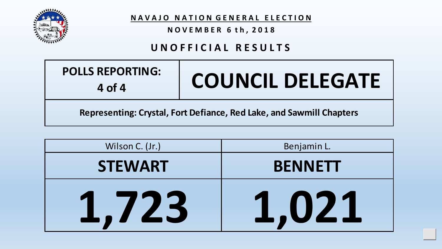

**N O V E M B E R 6 t h , 2 0 1 8**

# **U N O F F I C I A L R E S U L T S**

| <b>POLLS REPORTING:</b><br>4 of 4                                    | <b>COUNCIL DELEGATE</b> |
|----------------------------------------------------------------------|-------------------------|
| Representing: Crystal, Fort Defiance, Red Lake, and Sawmill Chapters |                         |

| Wilson C. (Jr.) | Benjamin L.    |
|-----------------|----------------|
| <b>STEWART</b>  | <b>BENNETT</b> |
| 1,723           | 1,021          |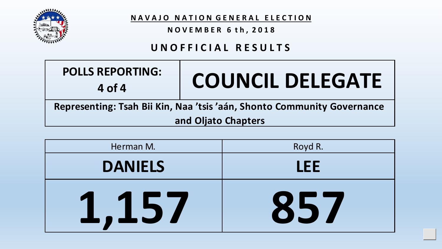

**N O V E M B E R 6 t h , 2 0 1 8**

# **U N O F F I C I A L R E S U L T S**

| <b>POLLS REPORTING:</b><br>4 of 4                                       | <b>COUNCIL DELEGATE</b> |
|-------------------------------------------------------------------------|-------------------------|
| Representing: Tsah Bii Kin, Naa 'tsis 'aán, Shonto Community Governance |                         |
| and Oljato Chapters                                                     |                         |

| Herman M.            | Royd R. |
|----------------------|---------|
| <b>DANIELS</b>       | LEE     |
| 157<br>$\frac{1}{2}$ | 857     |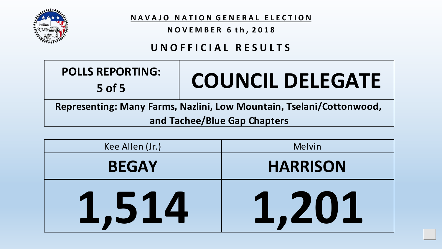

**N O V E M B E R 6 t h , 2 0 1 8**

# **U N O F F I C I A L R E S U L T S**

| <b>POLLS REPORTING:</b><br>$5$ of 5                                  | <b>COUNCIL DELEGATE</b> |
|----------------------------------------------------------------------|-------------------------|
| Representing: Many Farms, Nazlini, Low Mountain, Tselani/Cottonwood, |                         |
| and Tachee/Blue Gap Chapters                                         |                         |

| Kee Allen (Jr.) | Melvin          |
|-----------------|-----------------|
| <b>BEGAY</b>    | <b>HARRISON</b> |
| ,514            | ,201            |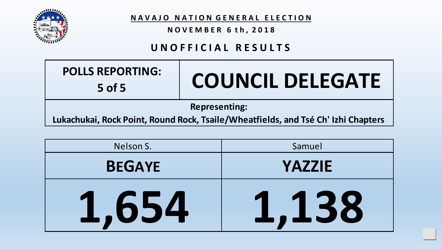

**N O V E M B E R 6 t h , 2 0 1 8**

# **U N O F F I C I A L R E S U L T S**

| <b>POLLS REPORTING:</b><br>$5$ of $5$                                             | <b>COUNCIL DELEGATE</b> |
|-----------------------------------------------------------------------------------|-------------------------|
| <b>Representing:</b>                                                              |                         |
| Lukachukai, Rock Point, Round Rock, Tsaile/Wheatfields, and Tsé Ch' Izhi Chapters |                         |

| Nelson S.     | Samuel        |
|---------------|---------------|
| <b>BEGAYE</b> | YAZZIE        |
| .654          | .138<br>ر طلب |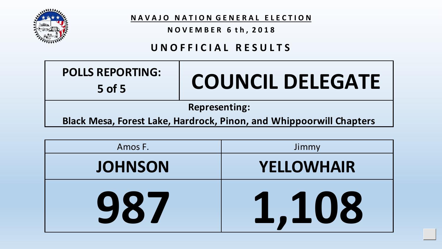

**N O V E M B E R 6 t h , 2 0 1 8**

#### **U N O F F I C I A L R E S U L T S**

| <b>Representing:</b><br><b>Black Mesa, Forest Lake, Hardrock, Pinon, and Whippoorwill Chapters</b> |  |
|----------------------------------------------------------------------------------------------------|--|
|                                                                                                    |  |

| Amos F.        | Jimmy             |
|----------------|-------------------|
| <b>JOHNSON</b> | <b>YELLOWHAIR</b> |
| 987            | 1,108             |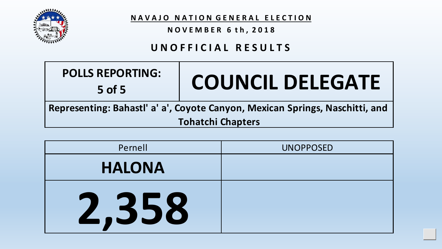

**N O V E M B E R 6 t h , 2 0 1 8**

#### **U N O F F I C I A L R E S U L T S**

| <b>POLLS REPORTING:</b><br>$5$ of 5                                          | <b>COUNCIL DELEGATE</b> |
|------------------------------------------------------------------------------|-------------------------|
| Representing: Bahastl' a' a', Coyote Canyon, Mexican Springs, Naschitti, and |                         |
| <b>Tohatchi Chapters</b>                                                     |                         |

| Pernell       | <b>UNOPPOSED</b> |
|---------------|------------------|
| <b>HALONA</b> |                  |
| 2,358         |                  |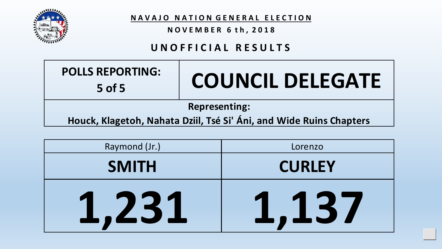

**N O V E M B E R 6 t h , 2 0 1 8**

# **U N O F F I C I A L R E S U L T S**

| <b>POLLS REPORTING:</b><br>5 of 5                                                           | <b>COUNCIL DELEGATE</b> |
|---------------------------------------------------------------------------------------------|-------------------------|
| <b>Representing:</b><br>Houck, Klagetoh, Nahata Dziil, Tsé Si' Áni, and Wide Ruins Chapters |                         |

| Raymond (Jr.)         | Lorenzo               |
|-----------------------|-----------------------|
| <b>SMITH</b>          | <b>CURLEY</b>         |
| 231<br>$\blacksquare$ | ,137<br>$\frac{1}{2}$ |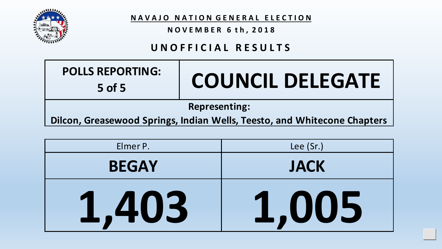

**N O V E M B E R 6 t h , 2 0 1 8**

# **U N O F F I C I A L R E S U L T S**

| <b>POLLS REPORTING:</b><br>$5$ of 5                                      | <b>COUNCIL DELEGATE</b> |
|--------------------------------------------------------------------------|-------------------------|
| <b>Representing:</b>                                                     |                         |
| Dilcon, Greasewood Springs, Indian Wells, Teesto, and Whitecone Chapters |                         |

| Elmer P.     | Lee (Sr.)   |
|--------------|-------------|
| <b>BEGAY</b> | <b>JACK</b> |
| ,403         | 1,005       |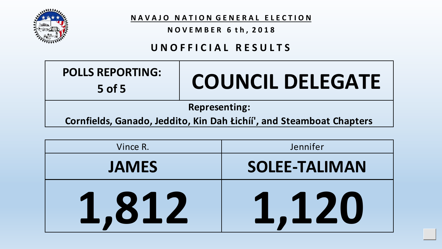

**N O V E M B E R 6 t h , 2 0 1 8**

#### **U N O F F I C I A L R E S U L T S**

| <b>POLLS REPORTING:</b><br>$5$ of 5                                                          | <b>COUNCIL DELEGATE</b> |
|----------------------------------------------------------------------------------------------|-------------------------|
| <b>Representing:</b><br>Cornfields, Ganado, Jeddito, Kin Dah Łichíi', and Steamboat Chapters |                         |

| Vince R.     | Jennifer             |
|--------------|----------------------|
| <b>JAMES</b> | <b>SOLEE-TALIMAN</b> |
| 812          | <b>TALL</b><br>1,120 |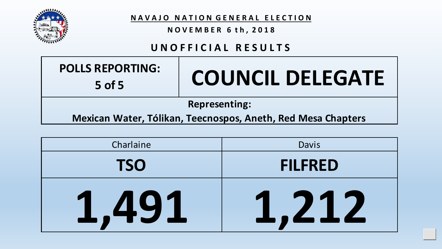

**N O V E M B E R 6 t h , 2 0 1 8**

# **U N O F F I C I A L R E S U L T S**

| <b>POLLS REPORTING:</b> |
|-------------------------|
| $5$ of 5                |

# **5 of 5 COUNCIL DELEGATE**

Upd

#### **Representing:**

**Mexican Water, Tólikan, Teecnospos, Aneth, Red Mesa Chapters**

| Charlaine  | Davis          |
|------------|----------------|
| <b>TSO</b> | <b>FILFRED</b> |
| .,491      | 1,212          |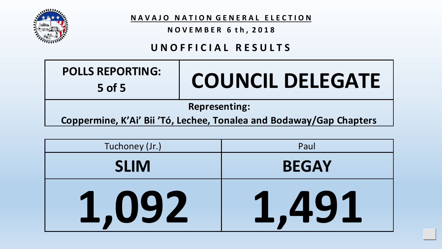

**N O V E M B E R 6 t h , 2 0 1 8**

# **U N O F F I C I A L R E S U L T S**

| <b>POLLS REPORTING:</b><br>$5$ of 5                                 | <b>COUNCIL DELEGATE</b> |
|---------------------------------------------------------------------|-------------------------|
| <b>Representing:</b>                                                |                         |
| Coppermine, K'Ai' Bii 'Tó, Lechee, Tonalea and Bodaway/Gap Chapters |                         |

| Tuchoney (Jr.) | Paul         |
|----------------|--------------|
| <b>SLIM</b>    | <b>BEGAY</b> |
| 1,092          | 1,491        |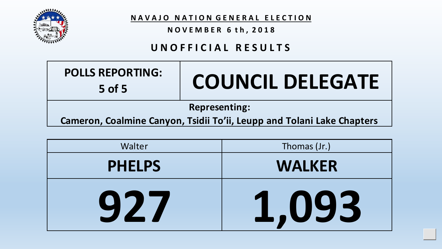

**N O V E M B E R 6 t h , 2 0 1 8**

#### **U N O F F I C I A L R E S U L T S**

| <b>POLLS REPORTING:</b><br>$5$ of 5                                    | <b>COUNCIL DELEGATE</b> |
|------------------------------------------------------------------------|-------------------------|
| <b>Representing:</b>                                                   |                         |
| Cameron, Coalmine Canyon, Tsidii To'ii, Leupp and Tolani Lake Chapters |                         |

| Walter        | Thomas (Jr.)  |
|---------------|---------------|
| <b>PHELPS</b> | <b>WALKER</b> |
| 927           | 1,093         |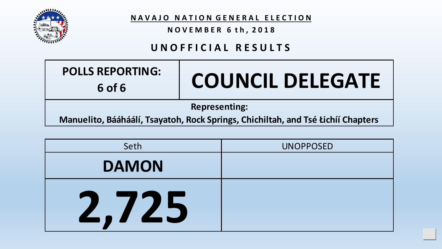

**N O V E M B E R 6 t h , 2 0 1 8**

# **U N O F F I C I A L R E S U L T S**

| <b>POLLS REPORTING:</b><br>6 of 6                                                | <b>COUNCIL DELEGATE</b> |
|----------------------------------------------------------------------------------|-------------------------|
| <b>Representing:</b>                                                             |                         |
| Manuelito, Bááháálí, Tsayatoh, Rock Springs, Chichiltah, and Tsé Łichíí Chapters |                         |

| Seth         | <b>UNOPPOSED</b> |
|--------------|------------------|
| <b>DAMON</b> |                  |
| 725          |                  |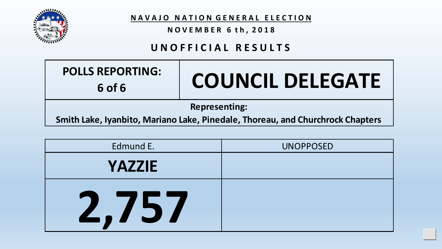

**N O V E M B E R 6 t h , 2 0 1 8**

# **U N O F F I C I A L R E S U L T S**

| <b>POLLS REPORTING:</b><br>6 of 6                                              | <b>COUNCIL DELEGATE</b> |
|--------------------------------------------------------------------------------|-------------------------|
| <b>Representing:</b>                                                           |                         |
| Smith Lake, Iyanbito, Mariano Lake, Pinedale, Thoreau, and Churchrock Chapters |                         |

| Edmund E.     | <b>UNOPPOSED</b> |
|---------------|------------------|
| <b>YAZZIE</b> |                  |
| C, 151        |                  |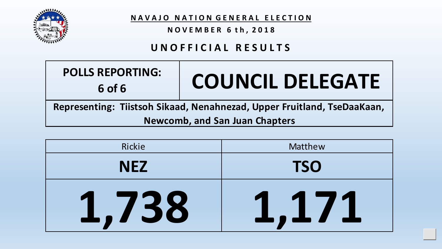

**N O V E M B E R 6 t h , 2 0 1 8**

# **U N O F F I C I A L R E S U L T S**

| <b>POLLS REPORTING:</b><br>6 of 6                                       | <b>COUNCIL DELEGATE</b> |
|-------------------------------------------------------------------------|-------------------------|
| Representing: Tiistsoh Sikaad, Nenahnezad, Upper Fruitland, TseDaaKaan, |                         |
| <b>Newcomb, and San Juan Chapters</b>                                   |                         |

| Rickie     | Matthew                            |
|------------|------------------------------------|
| <b>NEZ</b> | <b>TSO</b>                         |
| 1,738      | ,17<br>$\frac{1}{\sqrt{2}}$<br>- - |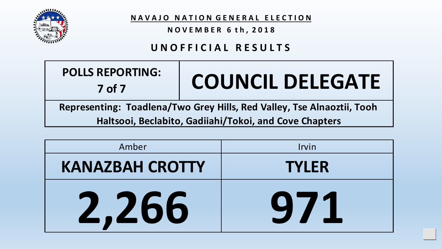

**N O V E M B E R 6 t h , 2 0 1 8**

#### **U N O F F I C I A L R E S U L T S**

| <b>POLLS REPORTING:</b><br>$7$ of $7$                                  | <b>COUNCIL DELEGATE</b> |
|------------------------------------------------------------------------|-------------------------|
| Representing: Toadlena/Two Grey Hills, Red Valley, Tse Alnaoztii, Tooh |                         |

**Haltsooi, Beclabito, Gadiiahi/Tokoi, and Cove Chapters**

| Amber                  | Irvin        |
|------------------------|--------------|
| <b>KANAZBAH CROTTY</b> | <b>TYLER</b> |
| 2,266                  | 971          |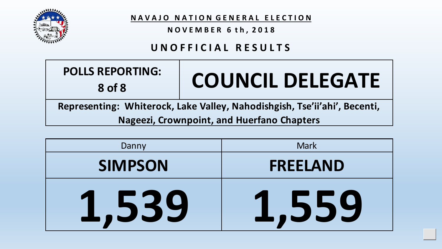

**N O V E M B E R 6 t h , 2 0 1 8**

# **U N O F F I C I A L R E S U L T S**

| <b>POLLS REPORTING:</b><br>8 of 8                                         | <b>COUNCIL DELEGATE</b> |
|---------------------------------------------------------------------------|-------------------------|
| Representing: Whiterock, Lake Valley, Nahodishgish, Tse'ii'ahi', Becenti, |                         |
| Nageezi, Crownpoint, and Huerfano Chapters                                |                         |

| Danny          | <b>Mark</b>                |
|----------------|----------------------------|
| <b>SIMPSON</b> | <b>FREELAND</b>            |
| 1,539          | ,559<br>$\blacktriangle$ , |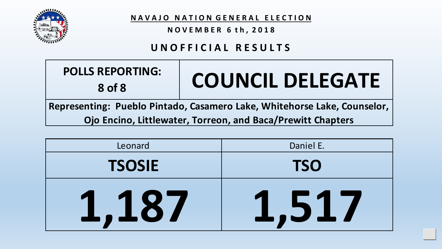

**N O V E M B E R 6 t h , 2 0 1 8**

# **U N O F F I C I A L R E S U L T S**

| <b>POLLS REPORTING:</b> |  |
|-------------------------|--|
| 8 of 8                  |  |

# **8 of 8 COUNCIL DELEGATE**

Upd

**Representing: Pueblo Pintado, Casamero Lake, Whitehorse Lake, Counselor, Ojo Encino, Littlewater, Torreon, and Baca/Prewitt Chapters**

| Leonard       | Daniel E.                      |
|---------------|--------------------------------|
| <b>TSOSIE</b> | <b>TSO</b>                     |
| .,187         | 1,51,<br>$\blacktriangleright$ |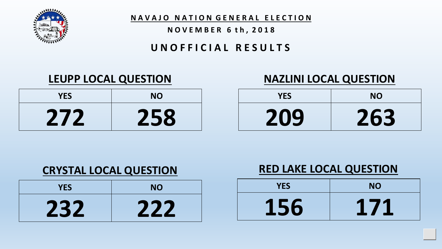

#### **N O V E M B E R 6 t h , 2 0 1 8**

#### **U N O F F I C I A L R E S U L T S**

| <b>YES</b> | <b>NO</b> |
|------------|-----------|
| 272        | 258       |

# **LEUPP LOCAL QUESTION NAZLINI LOCAL QUESTION**

| <b>YES</b> | <b>NO</b> |  |
|------------|-----------|--|
| 209        | 263       |  |

# **CRYSTAL LOCAL QUESTION**

| <b>YES</b> | <b>NO</b> |
|------------|-----------|
| 232        | 222       |

# **RED LAKE LOCAL QUESTION**

| <b>YES</b> | <b>NO</b> |
|------------|-----------|
| 156        | 171       |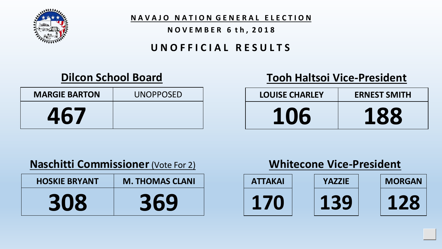

**N A V A J O N A T I O N G E N E R A L E L E C T I O N**

#### **N O V E M B E R 6 t h , 2 0 1 8**

# **U N O F F I C I A L R E S U L T S**

# **Dilcon School Board**

| <b>MARGIE BARTON</b> | <b>UNOPPOSED</b> |
|----------------------|------------------|
| 467                  |                  |

# **Tooh Haltsoi Vice-President**

| <b>LOUISE CHARLEY</b> | <b>ERNEST SMITH</b> |  |  |
|-----------------------|---------------------|--|--|
| 106                   | 188                 |  |  |

# **Naschitti Commissioner** (Vote For 2)

| <b>HOSKIE BRYANT</b> | <b>M. THOMAS CLANI</b> |
|----------------------|------------------------|
| 308                  | 369                    |

# **Whitecone Vice-President**